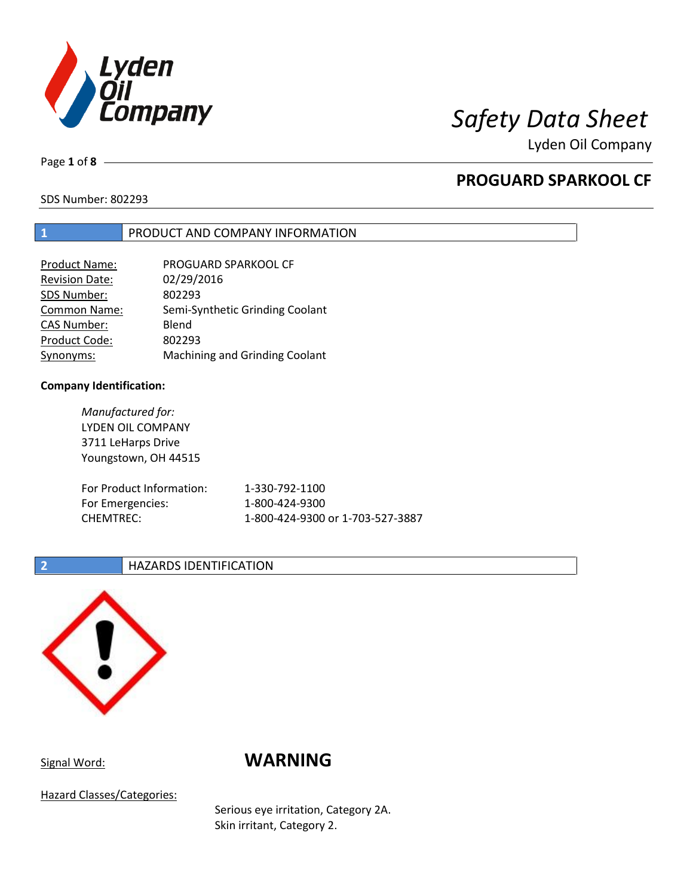

Lyden Oil Company

Page **1** of **8**

## **PROGUARD SPARKOOL CF**

SDS Number: 802293

### **1** PRODUCT AND COMPANY INFORMATION

| <b>Product Name:</b>  | PROGUARD SPARKOOL CF                  |
|-----------------------|---------------------------------------|
| <b>Revision Date:</b> | 02/29/2016                            |
| SDS Number:           | 802293                                |
| Common Name:          | Semi-Synthetic Grinding Coolant       |
| <b>CAS Number:</b>    | Blend                                 |
| Product Code:         | 802293                                |
| Synonyms:             | <b>Machining and Grinding Coolant</b> |

### **Company Identification:**

*Manufactured for:* LYDEN OIL COMPANY 3711 LeHarps Drive Youngstown, OH 44515 For Product Information: 1-330-792-1100 For Emergencies: 1-800-424-9300 CHEMTREC: 1-800-424-9300 or 1-703-527-3887

### **2 HAZARDS IDENTIFICATION**



## Signal Word: **WARNING**

Hazard Classes/Categories:

Serious eye irritation, Category 2A. Skin irritant, Category 2.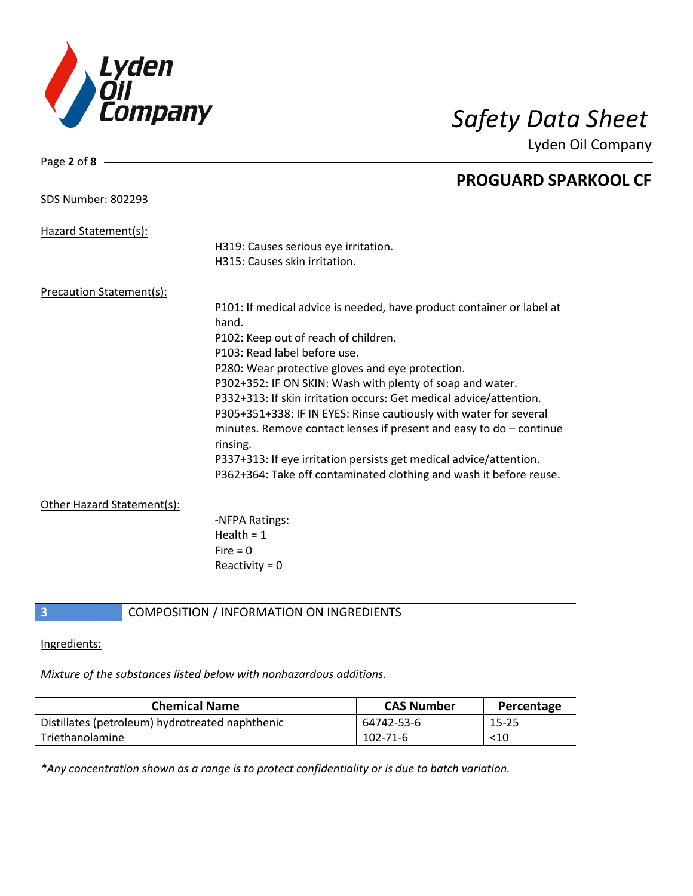

Page **2** of **8**

Lyden Oil Company

|                                 | <b>PROGUARD SPARKOOL CF</b>                                                       |
|---------------------------------|-----------------------------------------------------------------------------------|
| <b>SDS Number: 802293</b>       |                                                                                   |
| Hazard Statement(s):            |                                                                                   |
|                                 | H319: Causes serious eye irritation.                                              |
|                                 | H315: Causes skin irritation.                                                     |
| <b>Precaution Statement(s):</b> |                                                                                   |
|                                 | P101: If medical advice is needed, have product container or label at<br>hand.    |
|                                 | P102: Keep out of reach of children.                                              |
|                                 | P103: Read label before use.                                                      |
|                                 | P280: Wear protective gloves and eye protection.                                  |
|                                 | P302+352: IF ON SKIN: Wash with plenty of soap and water.                         |
|                                 | P332+313: If skin irritation occurs: Get medical advice/attention.                |
|                                 | P305+351+338: IF IN EYES: Rinse cautiously with water for several                 |
|                                 | minutes. Remove contact lenses if present and easy to $do$ – continue<br>rinsing. |
|                                 | P337+313: If eye irritation persists get medical advice/attention.                |
|                                 | P362+364: Take off contaminated clothing and wash it before reuse.                |
| Other Hazard Statement(s):      |                                                                                   |
|                                 | -NFPA Ratings:                                                                    |
|                                 | Health = $1$                                                                      |
|                                 | Fire $= 0$                                                                        |
|                                 | Reactivity = $0$                                                                  |
|                                 |                                                                                   |

### **3** COMPOSITION / INFORMATION ON INGREDIENTS

### Ingredients:

*Mixture of the substances listed below with nonhazardous additions.*

| <b>Chemical Name</b>                            | <b>CAS Number</b> | Percentage |
|-------------------------------------------------|-------------------|------------|
| Distillates (petroleum) hydrotreated naphthenic | 64742-53-6        | 15-25      |
| Triethanolamine                                 | 102-71-6          | $<$ 10     |

*\*Any concentration shown as a range is to protect confidentiality or is due to batch variation.*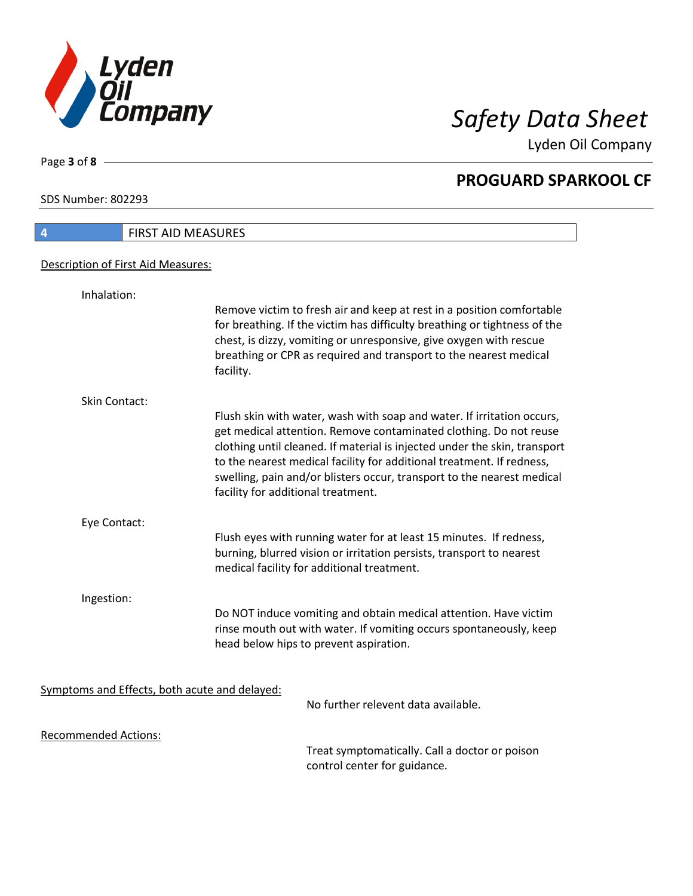

Lyden Oil Company

SDS Number: 802293

Page **3** of **8**

| <b>FIRST AID MEASURES</b><br>$\boldsymbol{4}$ |                                                                                                                                                                                                                                                                                                                                                                                                                   |
|-----------------------------------------------|-------------------------------------------------------------------------------------------------------------------------------------------------------------------------------------------------------------------------------------------------------------------------------------------------------------------------------------------------------------------------------------------------------------------|
| Description of First Aid Measures:            |                                                                                                                                                                                                                                                                                                                                                                                                                   |
| Inhalation:                                   |                                                                                                                                                                                                                                                                                                                                                                                                                   |
|                                               | Remove victim to fresh air and keep at rest in a position comfortable<br>for breathing. If the victim has difficulty breathing or tightness of the<br>chest, is dizzy, vomiting or unresponsive, give oxygen with rescue<br>breathing or CPR as required and transport to the nearest medical<br>facility.                                                                                                        |
| <b>Skin Contact:</b>                          |                                                                                                                                                                                                                                                                                                                                                                                                                   |
|                                               | Flush skin with water, wash with soap and water. If irritation occurs,<br>get medical attention. Remove contaminated clothing. Do not reuse<br>clothing until cleaned. If material is injected under the skin, transport<br>to the nearest medical facility for additional treatment. If redness,<br>swelling, pain and/or blisters occur, transport to the nearest medical<br>facility for additional treatment. |
| Eye Contact:                                  |                                                                                                                                                                                                                                                                                                                                                                                                                   |
|                                               | Flush eyes with running water for at least 15 minutes. If redness,<br>burning, blurred vision or irritation persists, transport to nearest<br>medical facility for additional treatment.                                                                                                                                                                                                                          |
| Ingestion:                                    |                                                                                                                                                                                                                                                                                                                                                                                                                   |
|                                               | Do NOT induce vomiting and obtain medical attention. Have victim<br>rinse mouth out with water. If vomiting occurs spontaneously, keep<br>head below hips to prevent aspiration.                                                                                                                                                                                                                                  |
| Symptoms and Effects, both acute and delayed: | No further relevent data available.                                                                                                                                                                                                                                                                                                                                                                               |
| <b>Recommended Actions:</b>                   |                                                                                                                                                                                                                                                                                                                                                                                                                   |
|                                               |                                                                                                                                                                                                                                                                                                                                                                                                                   |

Treat symptomatically. Call a doctor or poison control center for guidance.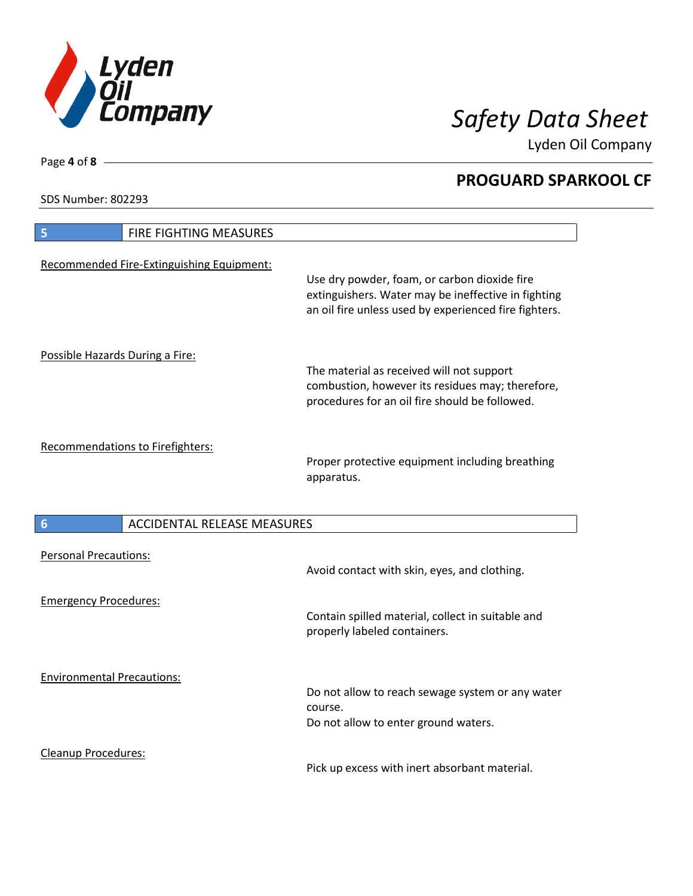

Lyden Oil Company

SDS Number: 802293

| <b>FIRE FIGHTING MEASURES</b><br>5                    |                                                                                                                                                              |
|-------------------------------------------------------|--------------------------------------------------------------------------------------------------------------------------------------------------------------|
| Recommended Fire-Extinguishing Equipment:             | Use dry powder, foam, or carbon dioxide fire<br>extinguishers. Water may be ineffective in fighting<br>an oil fire unless used by experienced fire fighters. |
| Possible Hazards During a Fire:                       | The material as received will not support<br>combustion, however its residues may; therefore,<br>procedures for an oil fire should be followed.              |
| Recommendations to Firefighters:                      | Proper protective equipment including breathing<br>apparatus.                                                                                                |
| <b>ACCIDENTAL RELEASE MEASURES</b><br>$6\phantom{1}6$ |                                                                                                                                                              |
| <b>Personal Precautions:</b>                          | Avoid contact with skin, eyes, and clothing.                                                                                                                 |
| <b>Emergency Procedures:</b>                          | Contain spilled material, collect in suitable and<br>properly labeled containers.                                                                            |
| <b>Environmental Precautions:</b>                     | Do not allow to reach sewage system or any water<br>course.<br>Do not allow to enter ground waters.                                                          |
| <b>Cleanup Procedures:</b>                            |                                                                                                                                                              |

Pick up excess with inert absorbant material.

Page **4** of **8**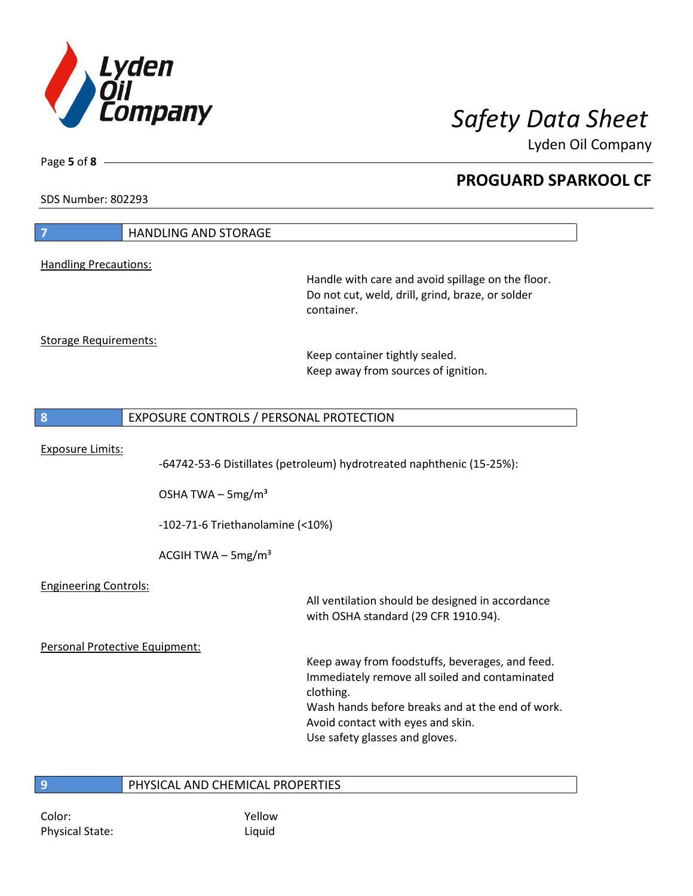

Lyden Oil Company

SDS Number: 802293

Page **5** of **8**

| $\overline{7}$                 | <b>HANDLING AND STORAGE</b>                                                                             |                                                                                                                                                                                                                                           |
|--------------------------------|---------------------------------------------------------------------------------------------------------|-------------------------------------------------------------------------------------------------------------------------------------------------------------------------------------------------------------------------------------------|
| <b>Handling Precautions:</b>   |                                                                                                         |                                                                                                                                                                                                                                           |
|                                |                                                                                                         | Handle with care and avoid spillage on the floor.<br>Do not cut, weld, drill, grind, braze, or solder<br>container.                                                                                                                       |
| <b>Storage Requirements:</b>   |                                                                                                         | Keep container tightly sealed.<br>Keep away from sources of ignition.                                                                                                                                                                     |
| 8                              | EXPOSURE CONTROLS / PERSONAL PROTECTION                                                                 |                                                                                                                                                                                                                                           |
| <b>Exposure Limits:</b>        | OSHA TWA $-$ 5mg/m <sup>3</sup><br>$-102-71-6$ Triethanolamine (<10%)<br>ACGIH TWA - 5mg/m <sup>3</sup> | -64742-53-6 Distillates (petroleum) hydrotreated naphthenic (15-25%):                                                                                                                                                                     |
| <b>Engineering Controls:</b>   |                                                                                                         | All ventilation should be designed in accordance<br>with OSHA standard (29 CFR 1910.94).                                                                                                                                                  |
| Personal Protective Equipment: |                                                                                                         | Keep away from foodstuffs, beverages, and feed.<br>Immediately remove all soiled and contaminated<br>clothing.<br>Wash hands before breaks and at the end of work.<br>Avoid contact with eyes and skin.<br>Use safety glasses and gloves. |
| 9                              | PHYSICAL AND CHEMICAL PROPERTIES                                                                        |                                                                                                                                                                                                                                           |

**9** PHYSICAL AND CHEMICAL PROPERTIES

Color: Yellow Physical State: Liquid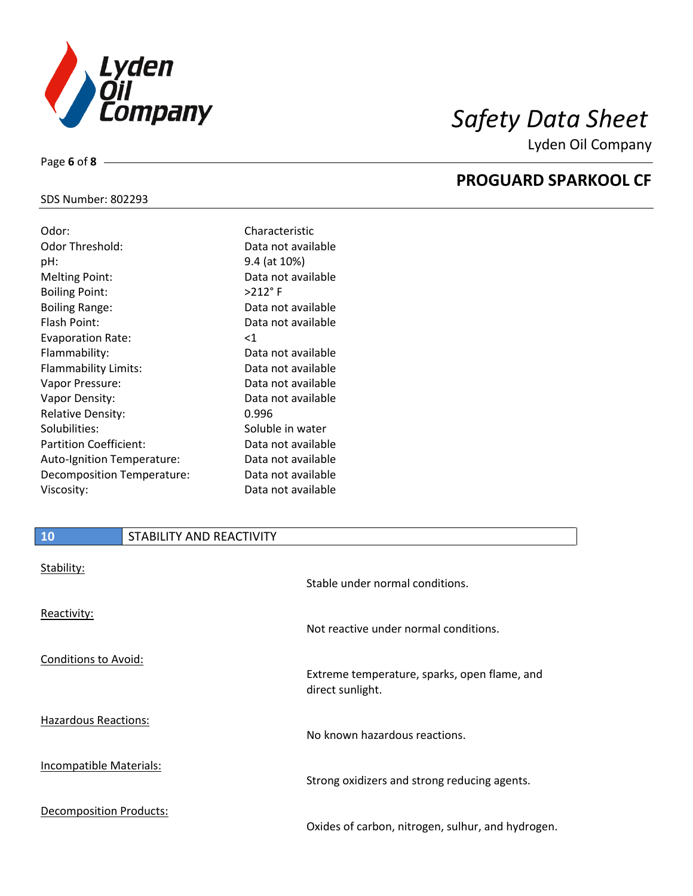

Lyden Oil Company

### SDS Number: 802293

Page **6** of **8**

| Odor:                         | Characteristic     |
|-------------------------------|--------------------|
| Odor Threshold:               | Data not available |
| pH:                           | 9.4 (at 10%)       |
| <b>Melting Point:</b>         | Data not available |
| <b>Boiling Point:</b>         | $>212$ °F          |
| <b>Boiling Range:</b>         | Data not available |
| Flash Point:                  | Data not available |
| <b>Evaporation Rate:</b>      | $<$ 1              |
| Flammability:                 | Data not available |
| Flammability Limits:          | Data not available |
| Vapor Pressure:               | Data not available |
| Vapor Density:                | Data not available |
| <b>Relative Density:</b>      | 0.996              |
| Solubilities:                 | Soluble in water   |
| <b>Partition Coefficient:</b> | Data not available |
| Auto-Ignition Temperature:    | Data not available |
| Decomposition Temperature:    | Data not available |
| Viscosity:                    | Data not available |

## **10** STABILITY AND REACTIVITY

| Stability:                     | Stable under normal conditions.                                  |
|--------------------------------|------------------------------------------------------------------|
| Reactivity:                    | Not reactive under normal conditions.                            |
| Conditions to Avoid:           | Extreme temperature, sparks, open flame, and<br>direct sunlight. |
| Hazardous Reactions:           | No known hazardous reactions.                                    |
| <b>Incompatible Materials:</b> | Strong oxidizers and strong reducing agents.                     |
| <b>Decomposition Products:</b> | Oxides of carbon, nitrogen, sulhur, and hydrogen.                |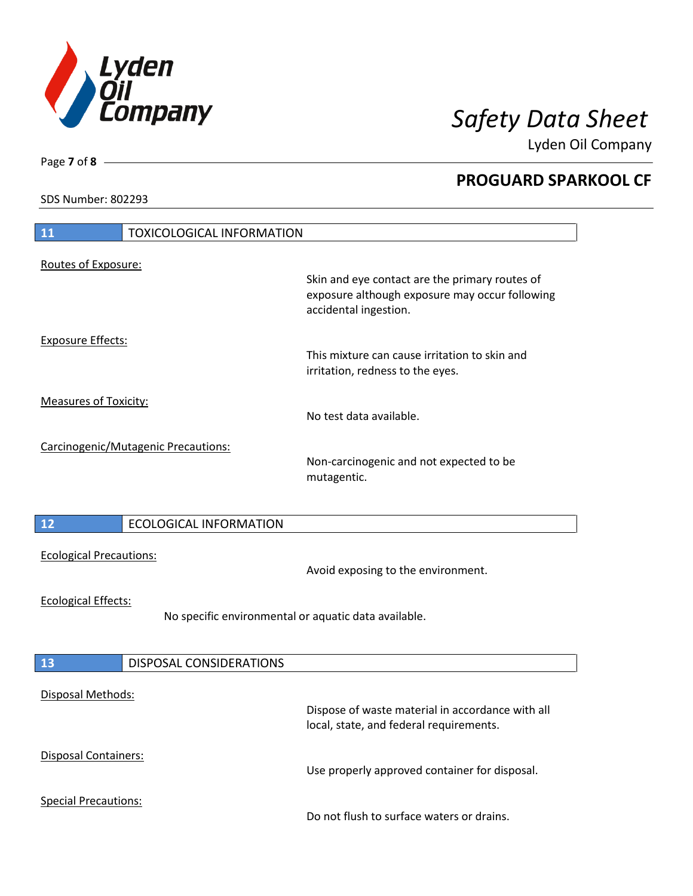

Lyden Oil Company

SDS Number: 802293

| <b>11</b><br><b>TOXICOLOGICAL INFORMATION</b>                                      |                                                                                                                           |  |
|------------------------------------------------------------------------------------|---------------------------------------------------------------------------------------------------------------------------|--|
| Routes of Exposure:                                                                | Skin and eye contact are the primary routes of<br>exposure although exposure may occur following<br>accidental ingestion. |  |
| <b>Exposure Effects:</b>                                                           | This mixture can cause irritation to skin and<br>irritation, redness to the eyes.                                         |  |
| <b>Measures of Toxicity:</b>                                                       | No test data available.                                                                                                   |  |
| Carcinogenic/Mutagenic Precautions:                                                | Non-carcinogenic and not expected to be<br>mutagentic.                                                                    |  |
| 12<br><b>ECOLOGICAL INFORMATION</b>                                                |                                                                                                                           |  |
| <b>Ecological Precautions:</b>                                                     | Avoid exposing to the environment.                                                                                        |  |
| <b>Ecological Effects:</b><br>No specific environmental or aquatic data available. |                                                                                                                           |  |
| <b>13</b><br>DISPOSAL CONSIDERATIONS                                               |                                                                                                                           |  |
| <b>Disposal Methods:</b>                                                           | Dispose of waste material in accordance with all<br>local, state, and federal requirements.                               |  |
| Disposal Containers:                                                               | Use properly approved container for disposal.                                                                             |  |
| <b>Special Precautions:</b>                                                        | Do not flush to surface waters or drains.                                                                                 |  |

Page **7** of **8**